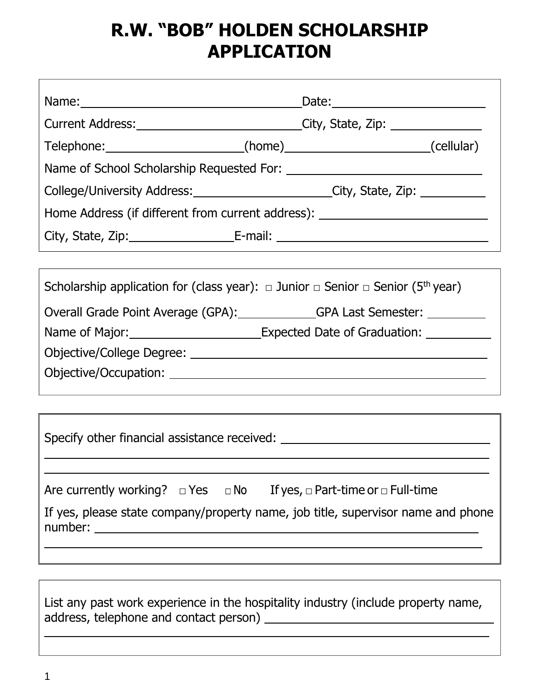## **R.W. "BOB" HOLDEN SCHOLARSHIP APPLICATION**

| Current Address: _____________________________City, State, Zip: ________________                           |  |  |
|------------------------------------------------------------------------------------------------------------|--|--|
| Telephone: ________________________(home)___________________________(cellular)                             |  |  |
|                                                                                                            |  |  |
| College/University Address: _________________________City, State, Zip: _________                           |  |  |
| Home Address (if different from current address): ______________________________                           |  |  |
|                                                                                                            |  |  |
|                                                                                                            |  |  |
| Scholarship application for (class year): $\Box$ Junior $\Box$ Senior $\Box$ Senior (5 <sup>th</sup> year) |  |  |
| Overall Grade Point Average (GPA): GPA Last Semester: _________                                            |  |  |
| Name of Major: ____________________________Expected Date of Graduation: _________                          |  |  |
|                                                                                                            |  |  |
|                                                                                                            |  |  |
|                                                                                                            |  |  |
| Specify other financial assistance received: ___________________________________                           |  |  |
|                                                                                                            |  |  |
| Are currently working? $\Box$ Yes $\Box$ No If yes, $\Box$ Part-time or $\Box$ Full-time                   |  |  |
| If yes, please state company/property name, job title, supervisor name and phone                           |  |  |
|                                                                                                            |  |  |
| List any past work experience in the hospitality industry (include property name,                          |  |  |
|                                                                                                            |  |  |